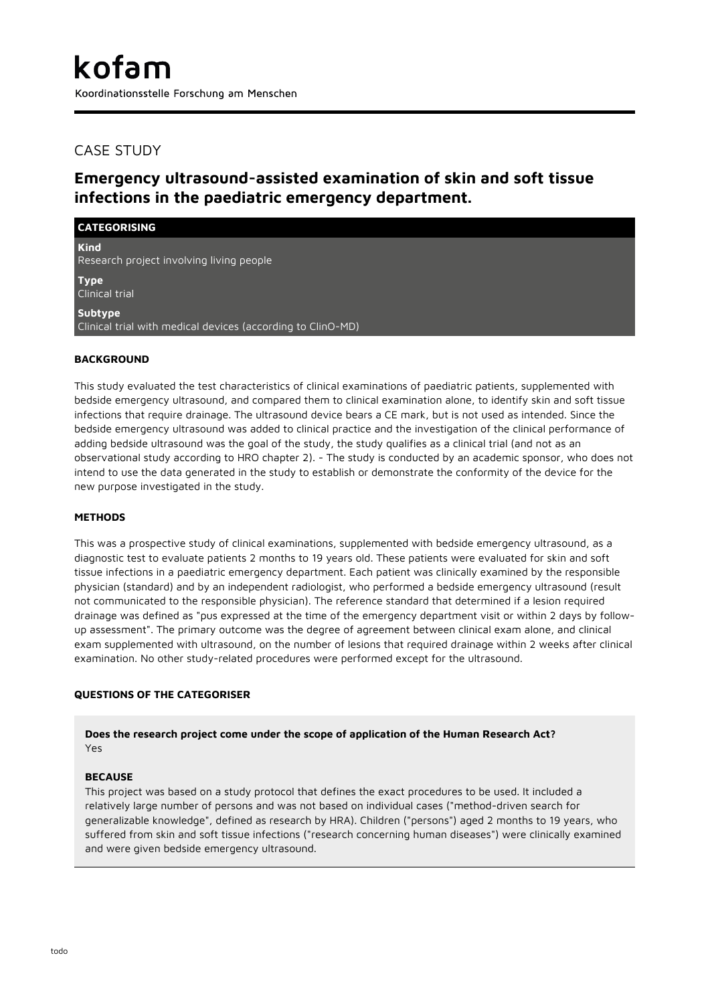## CASE STUDY

# **Emergency ultrasound-assisted examination of skin and soft tissue infections in the paediatric emergency department.**

| <b>CATEGORISING</b>                                                    |
|------------------------------------------------------------------------|
| <b>Kind</b><br>Research project involving living people                |
| <b>Type</b><br>Clinical trial                                          |
| Subtype<br>Clinical trial with medical devices (according to ClinO-MD) |

## **BACKGROUND**

This study evaluated the test characteristics of clinical examinations of paediatric patients, supplemented with bedside emergency ultrasound, and compared them to clinical examination alone, to identify skin and soft tissue infections that require drainage. The ultrasound device bears a CE mark, but is not used as intended. Since the bedside emergency ultrasound was added to clinical practice and the investigation of the clinical performance of adding bedside ultrasound was the goal of the study, the study qualifies as a clinical trial (and not as an observational study according to HRO chapter 2). - The study is conducted by an academic sponsor, who does not intend to use the data generated in the study to establish or demonstrate the conformity of the device for the new purpose investigated in the study.

## **METHODS**

This was a prospective study of clinical examinations, supplemented with bedside emergency ultrasound, as a diagnostic test to evaluate patients 2 months to 19 years old. These patients were evaluated for skin and soft tissue infections in a paediatric emergency department. Each patient was clinically examined by the responsible physician (standard) and by an independent radiologist, who performed a bedside emergency ultrasound (result not communicated to the responsible physician). The reference standard that determined if a lesion required drainage was defined as "pus expressed at the time of the emergency department visit or within 2 days by followup assessment". The primary outcome was the degree of agreement between clinical exam alone, and clinical exam supplemented with ultrasound, on the number of lesions that required drainage within 2 weeks after clinical examination. No other study-related procedures were performed except for the ultrasound.

## **QUESTIONS OF THE CATEGORISER**

**Does the research project come under the scope of application of the Human Research Act?** Yes

## **BECAUSE**

This project was based on a study protocol that defines the exact procedures to be used. It included a relatively large number of persons and was not based on individual cases ("method-driven search for generalizable knowledge", defined as research by HRA). Children ("persons") aged 2 months to 19 years, who suffered from skin and soft tissue infections ("research concerning human diseases") were clinically examined and were given bedside emergency ultrasound.